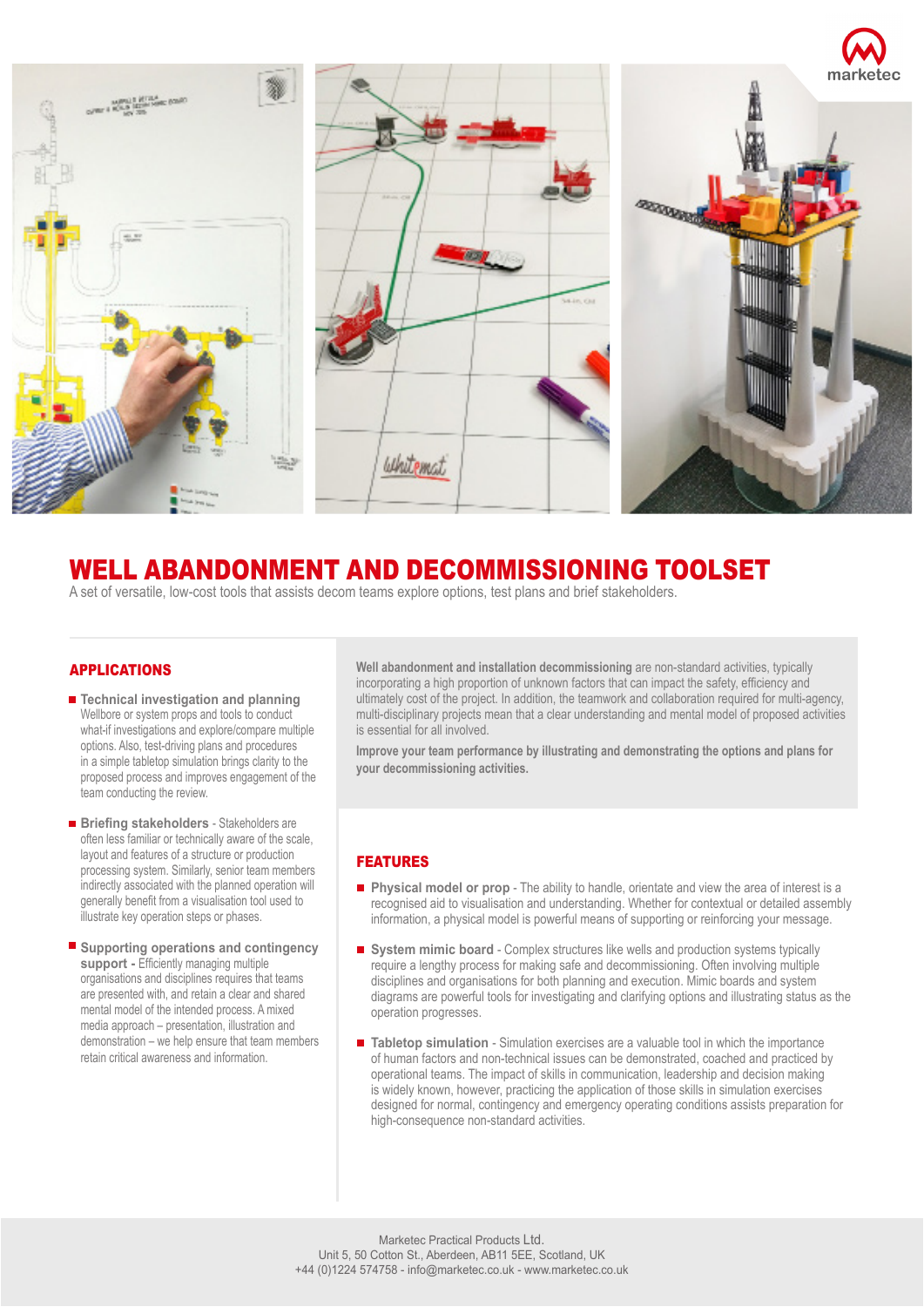

## WELL ABANDONMENT AND DECOMMISSIONING TOOLSET

A set of versatile, low-cost tools that assists decom teams explore options, test plans and brief stakeholders.

## APPLICATIONS

- **Technical investigation and planning** Wellbore or system props and tools to conduct what-if investigations and explore/compare multiple options. Also, test-driving plans and procedures in a simple tabletop simulation brings clarity to the proposed process and improves engagement of the team conducting the review.
- **Briefing stakeholders** Stakeholders are often less familiar or technically aware of the scale, layout and features of a structure or production processing system. Similarly, senior team members indirectly associated with the planned operation will generally benefit from a visualisation tool used to illustrate key operation steps or phases.
- Supporting operations and contingency support - Efficiently managing multiple organisations and disciplines requires that teams are presented with, and retain a clear and shared mental model of the intended process. A mixed media approach – presentation, illustration and demonstration – we help ensure that team members retain critical awareness and information.

**Well abandonment and installation decommissioning** are non-standard activities, typically incorporating a high proportion of unknown factors that can impact the safety, efficiency and ultimately cost of the project. In addition, the teamwork and collaboration required for multi-agency, multi-disciplinary projects mean that a clear understanding and mental model of proposed activities is essential for all involved.

**Improve your team performance by illustrating and demonstrating the options and plans for your decommissioning activities.**

## FEATURES

- **Physical model or prop** The ability to handle, orientate and view the area of interest is a recognised aid to visualisation and understanding. Whether for contextual or detailed assembly information, a physical model is powerful means of supporting or reinforcing your message.
- **System mimic board** Complex structures like wells and production systems typically require a lengthy process for making safe and decommissioning. Often involving multiple disciplines and organisations for both planning and execution. Mimic boards and system diagrams are powerful tools for investigating and clarifying options and illustrating status as the operation progresses.
- Tabletop simulation Simulation exercises are a valuable tool in which the importance of human factors and non-technical issues can be demonstrated, coached and practiced by operational teams. The impact of skills in communication, leadership and decision making is widely known, however, practicing the application of those skills in simulation exercises designed for normal, contingency and emergency operating conditions assists preparation for high-consequence non-standard activities.